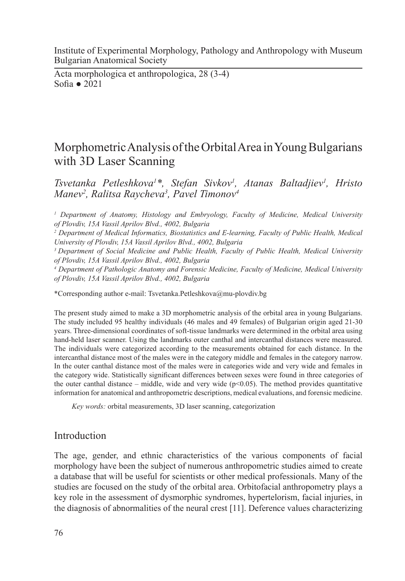Institute of Experimental Morphology, Pathology and Anthropology with Museum Bulgarian Anatomical Society

Acta morphologica et anthropologica, 28 (3-4) Sofia ● 2021

# Morphometric Analysis of the Orbital Area in Young Bulgarians with 3D Laser Scanning

*Tsvetanka Petleshkova1 \*, Stefan Sivkov1 , Atanas Baltadjiev1 , Hristo Manev2 , Ralitsa Raycheva3 , Pavel Timonov4*

<sup>1</sup> Department of Anatomy, Histology and Embryology, Faculty of Medicine, Medical University *of Plovdiv, 15A Vassil Aprilov Blvd., 4002, Bulgaria*

<sup>2</sup> Department of Medical Informatics, Biostatistics and E-learning, Faculty of Public Health, Medical *University of Plovdiv, 15A Vassil Aprilov Blvd., 4002, Bulgaria*

*3 Department of Social Medicine and Public Health, Faculty of Public Health, Medical University of Plovdiv, 15A Vassil Aprilov Blvd., 4002, Bulgaria*

*4 Department of Pathologic Anatomy and Forensic Medicine, Faculty of Medicine, Medical University of Plovdiv, 15A Vassil Aprilov Blvd., 4002, Bulgaria*

\*Corresponding author e-mail: Tsvetanka.Petleshkova@mu-plovdiv.bg

The present study aimed to make a 3D morphometric analysis of the orbital area in young Bulgarians. The study included 95 healthy individuals (46 males and 49 females) of Bulgarian origin aged 21-30 years. Three-dimensional coordinates of soft-tissue landmarks were determined in the orbital area using hand-held laser scanner. Using the landmarks outer canthal and intercanthal distances were measured. The individuals were categorized according to the measurements obtained for each distance. In the intercanthal distance most of the males were in the category middle and females in the category narrow. In the outer canthal distance most of the males were in categories wide and very wide and females in the category wide. Statistically significant differences between sexes were found in three categories of the outer canthal distance – middle, wide and very wide  $(p<0.05)$ . The method provides quantitative information for anatomical and anthropometric descriptions, medical evaluations, and forensic medicine.

*Key words:* orbital measurements, 3D laser scanning, categorization

# Introduction

The age, gender, and ethnic characteristics of the various components of facial morphology have been the subject of numerous anthropometric studies aimed to create a database that will be useful for scientists or other medical professionals. Many of the studies are focused on the study of the orbital area. Orbitofacial anthropometry plays a key role in the assessment of dysmorphic syndromes, hypertelorism, facial injuries, in the diagnosis of abnormalities of the neural crest [11]. Deference values characterizing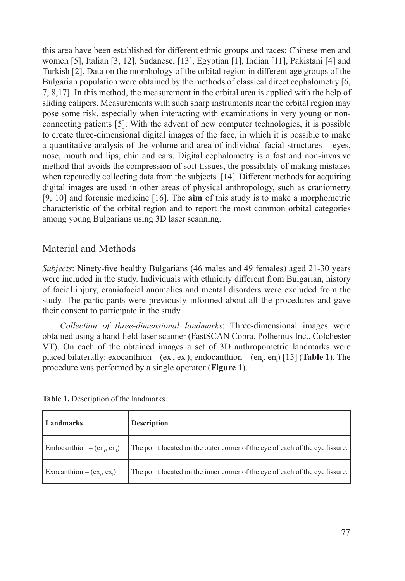this area have been established for different ethnic groups and races: Chinese men and women [5], Italian [3, 12], Sudanese, [13], Egyptian [1], Indian [11], Pakistani [4] and Turkish [2]. Data on the morphology of the orbital region in different age groups of the Bulgarian population were obtained by the methods of classical direct cephalometry [6, 7, 8,17]. In this method, the measurement in the orbital area is applied with the help of sliding calipers. Measurements with such sharp instruments near the orbital region may pose some risk, especially when interacting with examinations in very young or nonconnecting patients [5]. With the advent of new computer technologies, it is possible to create three-dimensional digital images of the face, in which it is possible to make a quantitative analysis of the volume and area of individual facial structures – eyes, nose, mouth and lips, chin and ears. Digital cephalometry is a fast and non-invasive method that avoids the compression of soft tissues, the possibility of making mistakes when repeatedly collecting data from the subjects. [14]. Different methods for acquiring digital images are used in other areas of physical anthropology, such as craniometry [9, 10] and forensic medicine [16]. The **aim** of this study is to make a morphometric characteristic of the orbital region and to report the most common orbital categories among young Bulgarians using 3D laser scanning.

# Material and Methods

*Subjects*: Ninety-five healthy Bulgarians (46 males and 49 females) aged 21-30 years were included in the study. Individuals with ethnicity different from Bulgarian, history of facial injury, craniofacial anomalies and mental disorders were excluded from the study. The participants were previously informed about all the procedures and gave their consent to participate in the study.

*Collection of three-dimensional landmarks*: Three-dimensional images were obtained using a hand-held laser scanner (FastSCAN Cobra, Polhemus Inc., Colchester VT). On each of the obtained images a set of 3D anthropometric landmarks were placed bilaterally: exocanthion – (ex<sub>r</sub>, ex<sub>1</sub>); endocanthion – (en<sub>r</sub>, en<sub>1</sub>) [15] (**Table 1**). The procedure was performed by a single operator (**Figure 1**).

| <b>Table 1.</b> Description of the landmarks |
|----------------------------------------------|
|----------------------------------------------|

| Landmarks                          | <b>Description</b>                                                           |
|------------------------------------|------------------------------------------------------------------------------|
| Endocanthion – $(en_{r2}, en_{1})$ | The point located on the outer corner of the eye of each of the eye fissure. |
| Exocanthion – $(ex_., ex_]$        | The point located on the inner corner of the eye of each of the eye fissure. |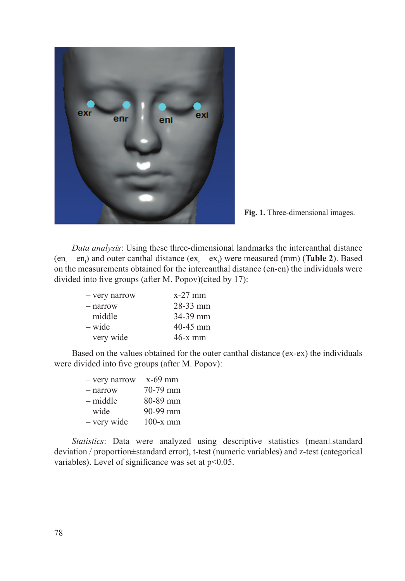

Fig. 1. Three-dimensional images.

*Data analysis*: Using these three-dimensional landmarks the intercanthal distance  $(en_r-en_l)$  and outer canthal distance  $(ex_r-ex_l)$  were measured (mm) (**Table 2**). Based on the measurements obtained for the intercanthal distance (en-en) the individuals were divided into five groups (after M. Popov)(cited by 17):

| - very narrow | $x-27$ mm    |
|---------------|--------------|
| - narrow      | $28 - 33$ mm |
| $-$ middle    | $34-39$ mm   |
| $-$ wide      | $40 - 45$ mm |
| - very wide   | $46-x$ mm    |

Based on the values obtained for the outer canthal distance (ex-ex) the individuals were divided into five groups (after M. Popov):

| - very narrow | $x-69$ mm  |
|---------------|------------|
| $-$ narrow    | 70-79 mm   |
| – middle      | 80-89 mm   |
| $-$ wide      | 90-99 mm   |
| - very wide   | $100-x$ mm |

*Statistics*: Data were analyzed using descriptive statistics (mean±standard deviation / proportion±standard error), t-test (numeric variables) and z-test (categorical variables). Level of significance was set at  $p<0.05$ .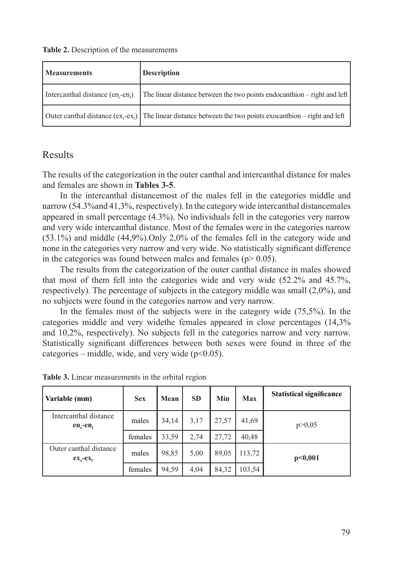**Table 2.** Description of the measurements

| <b>Measurements</b>                 | Description                                                                                                |
|-------------------------------------|------------------------------------------------------------------------------------------------------------|
| Intercanthal distance $(en_r-en_l)$ | The linear distance between the two points endocanthion – right and left                                   |
|                                     | Outer canthal distance $(ex, -ex)$ The linear distance between the two points exocanthion – right and left |

# Results

The results of the categorization in the outer canthal and intercanthal distance for males and females are shown in **Tables 3-5**.

In the intercanthal distancemost of the males fell in the categories middle and narrow (54.3%and 41,3%, respectively). In the category wide intercanthal distancemales appeared in small percentage (4.3%). No individuals fell in the categories very narrow and very wide intercanthal distance. Most of the females were in the categories narrow (53.1%) and middle (44,9%).Only 2,0% of the females fell in the category wide and none in the categories very narrow and very wide. No statistically significant difference in the categories was found between males and females ( $p$  > 0.05).

The results from the categorization of the outer canthal distance in males showed that most of them fell into the categories wide and very wide (52.2% and 45.7%, respectively). The percentage of subjects in the category middle was small (2,0%), and no subjects were found in the categories narrow and very narrow.

In the females most of the subjects were in the category wide (75,5%). In the categories middle and very widethe females appeared in close percentages (14,3% and 10,2%, respectively). No subjects fell in the categories narrow and very narrow. Statistically significant differences between both sexes were found in three of the categories – middle, wide, and very wide  $(p<0.05)$ .

| Variable (mm)                         | <b>Sex</b> | Mean  | <b>SD</b> | Min   | <b>Max</b> | <b>Statistical significance</b> |
|---------------------------------------|------------|-------|-----------|-------|------------|---------------------------------|
| Intercanthal distance<br>$en$ -en     | males      | 34,14 | 3,17      | 27,57 | 41,69      | p > 0.05                        |
|                                       | females    | 33,59 | 2,74      | 27,72 | 40.48      |                                 |
| Outer canthal distance<br>$ex_r-ex_1$ | males      | 98,85 | 5,00      | 89,05 | 113,72     | p<0.001                         |
|                                       | females    | 94,59 | 4,04      | 84,32 | 103,54     |                                 |

**Table 3.** Linear measurements in the orbital region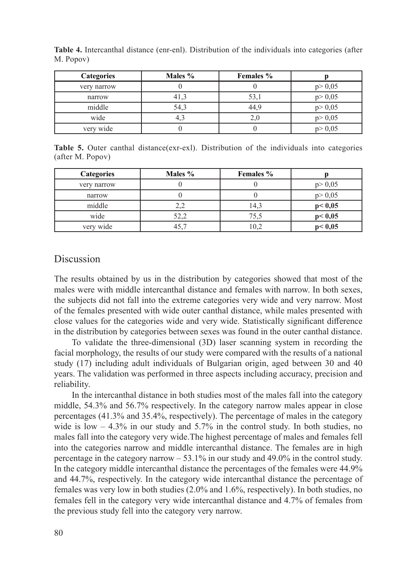| <b>Categories</b> | Males % | <b>Females</b> % |          |
|-------------------|---------|------------------|----------|
| very narrow       |         |                  | p > 0,05 |
| narrow            | 41,3    | 53,1             | p > 0,05 |
| middle            | 54,3    | 44.9             | p > 0,05 |
| wide              | 4,3     |                  | p > 0,05 |
| very wide         |         |                  | p > 0.05 |

**Table 4.** Intercanthal distance (enr-enl). Distribution of the individuals into categories (after M. Popov)

**Table 5.** Outer canthal distance(exr-exl). Distribution of the individuals into categories (after M. Popov)

| <b>Categories</b> | Males % | <b>Females</b> % |          |
|-------------------|---------|------------------|----------|
| very narrow       |         |                  | p > 0,05 |
| narrow            |         |                  | p > 0,05 |
| middle            | 2,2     | 14.3             | p < 0,05 |
| wide              | 52.2    | 75.5             | p < 0,05 |
| very wide         | 45,7    | 10,2             | p < 0,05 |

#### Discussion

The results obtained by us in the distribution by categories showed that most of the males were with middle intercanthal distance and females with narrow. In both sexes, the subjects did not fall into the extreme categories very wide and very narrow. Most of the females presented with wide outer canthal distance, while males presented with close values for the categories wide and very wide. Statistically significant difference in the distribution by categories between sexes was found in the outer canthal distance.

To validate the three-dimensional (3D) laser scanning system in recording the facial morphology, the results of our study were compared with the results of a national study (17) including adult individuals of Bulgarian origin, aged between 30 and 40 years. The validation was performed in three aspects including accuracy, precision and reliability.

In the intercanthal distance in both studies most of the males fall into the category middle, 54.3% and 56.7% respectively. In the category narrow males appear in close percentages (41.3% and 35.4%, respectively). The percentage of males in the category wide is low  $-4.3\%$  in our study and 5.7% in the control study. In both studies, no males fall into the category very wide.The highest percentage of males and females fell into the categories narrow and middle intercanthal distance. The females are in high percentage in the category narrow  $-53.1\%$  in our study and 49.0% in the control study. In the category middle intercanthal distance the percentages of the females were 44.9% and 44.7%, respectively. In the category wide intercanthal distance the percentage of females was very low in both studies (2.0% and 1.6%, respectively). In both studies, no females fell in the category very wide intercanthal distance and 4.7% of females from the previous study fell into the category very narrow.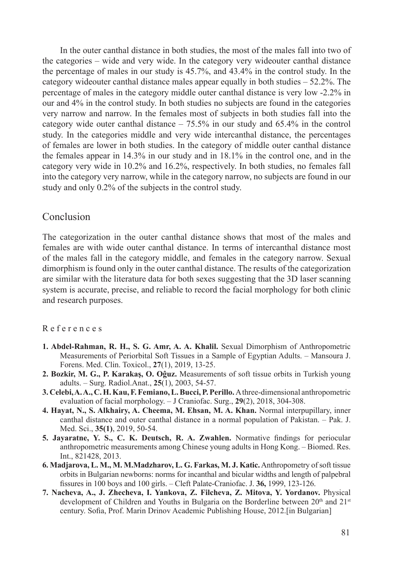In the outer canthal distance in both studies, the most of the males fall into two of the categories – wide and very wide. In the category very wideouter canthal distance the percentage of males in our study is 45.7%, and 43.4% in the control study. In the category wideouter canthal distance males appear equally in both studies  $-52.2\%$ . The percentage of males in the category middle outer canthal distance is very low -2.2% in our and 4% in the control study. In both studies no subjects are found in the categories very narrow and narrow. In the females most of subjects in both studies fall into the category wide outer canthal distance – 75.5% in our study and 65.4% in the control study. In the categories middle and very wide intercanthal distance, the percentages of females are lower in both studies. In the category of middle outer canthal distance the females appear in 14.3% in our study and in 18.1% in the control one, and in the category very wide in 10.2% and 16.2%, respectively. In both studies, no females fall into the category very narrow, while in the category narrow, no subjects are found in our study and only 0.2% of the subjects in the control study.

#### Conclusion

The categorization in the outer canthal distance shows that most of the males and females are with wide outer canthal distance. In terms of intercanthal distance most of the males fall in the category middle, and females in the category narrow. Sexual dimorphism is found only in the outer canthal distance. The results of the categorization are similar with the literature data for both sexes suggesting that the 3D laser scanning system is accurate, precise, and reliable to record the facial morphology for both clinic and research purposes.

#### R e f e r e n c e s

- **1. Abdel-Rahman, R. H., S. G. Amr, A. A. Khalil.** Sexual Dimorphism of Anthropometric Measurements of Periorbital Soft Tissues in a Sample of Egyptian Adults. – Mansoura J. Forens. Med. Clin. Toxicol., **27**(1), 2019, 13-25.
- **2. Bozkir, M. G., P. Karakaş, O. Oĝuz.** Measurements of soft tissue orbits in Turkish young adults. – Surg. Radiol.Anat., **25**(1), 2003, 54-57.
- **3. Celebi, A. A., C. H. Kau, F. Femiano, L. Bucci, P. Perillo.** A three-dimensional anthropometric evaluation of facial morphology. – J Craniofac. Surg., **29**(2), 2018, 304-308.
- **4. Hayat, N., S. Alkhairy, A. Cheema, M. Ehsan, M. A. Khan.** Normal interpupillary, inner canthal distance and outer canthal distance in a normal population of Pakistan. – Pak. J. Med. Sci., **35(1)**, 2019, 50-54.
- **5. Jayaratne, Y. S., C. K. Deutsch, R. A. Zwahlen.** Normative findings for periocular anthropometric measurements among Chinese young adults in Hong Kong. – Biomed. Res. Int., 821428, 2013.
- **6. Madjarova, L. M., M. M.Madzharov, L. G. Farkas, M. J. Katic.** Anthropometry of soft tissue orbits in Bulgarian newborns: norms for incanthal and bicular widths and length of palpebral fissures in 100 boys and 100 girls. – Cleft Palate-Craniofac. J. **36,** 1999, 123-126.
- **7. Nacheva, A., J. Zhecheva, I. Yankova, Z. Filcheva, Z. Mitova, Y. Yordanov.** Physical development of Children and Youths in Bulgaria on the Borderline between  $20<sup>th</sup>$  and  $21<sup>st</sup>$ century. Sofia, Prof. Marin Drinov Academic Publishing House, 2012.[in Bulgarian]